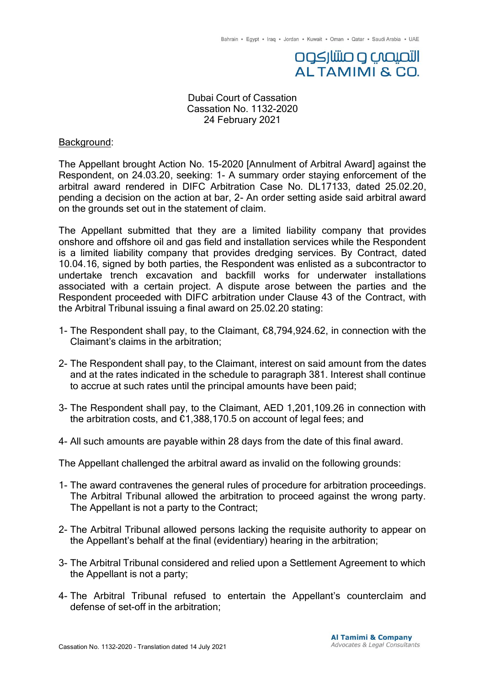# التصيصي وصنتنازكوه ALTAMIMI & CO.

Dubai Court of Cassation Cassation No. 1132-2020 24 February 2021

### Background:

The Appellant brought Action No. 15-2020 [Annulment of Arbitral Award] against the Respondent, on 24.03.20, seeking: 1- A summary order staying enforcement of the arbitral award rendered in DIFC Arbitration Case No. DL17133, dated 25.02.20, pending a decision on the action at bar, 2- An order setting aside said arbitral award on the grounds set out in the statement of claim.

The Appellant submitted that they are a limited liability company that provides onshore and offshore oil and gas field and installation services while the Respondent is a limited liability company that provides dredging services. By Contract, dated 10.04.16, signed by both parties, the Respondent was enlisted as a subcontractor to undertake trench excavation and backfill works for underwater installations associated with a certain project. A dispute arose between the parties and the Respondent proceeded with DIFC arbitration under Clause 43 of the Contract, with the Arbitral Tribunal issuing a final award on 25.02.20 stating:

- 1- The Respondent shall pay, to the Claimant, €8,794,924.62, in connection with the Claimant's claims in the arbitration;
- 2- The Respondent shall pay, to the Claimant, interest on said amount from the dates and at the rates indicated in the schedule to paragraph 381. Interest shall continue to accrue at such rates until the principal amounts have been paid;
- 3- The Respondent shall pay, to the Claimant, AED 1,201,109.26 in connection with the arbitration costs, and €1,388,170.5 on account of legal fees; and
- 4- All such amounts are payable within 28 days from the date of this final award.
- The Appellant challenged the arbitral award as invalid on the following grounds:
- 1- The award contravenes the general rules of procedure for arbitration proceedings. The Arbitral Tribunal allowed the arbitration to proceed against the wrong party. The Appellant is not a party to the Contract;
- 2- The Arbitral Tribunal allowed persons lacking the requisite authority to appear on the Appellant's behalf at the final (evidentiary) hearing in the arbitration;
- 3- The Arbitral Tribunal considered and relied upon a Settlement Agreement to which the Appellant is not a party;
- 4- The Arbitral Tribunal refused to entertain the Appellant's counterclaim and defense of set-off in the arbitration;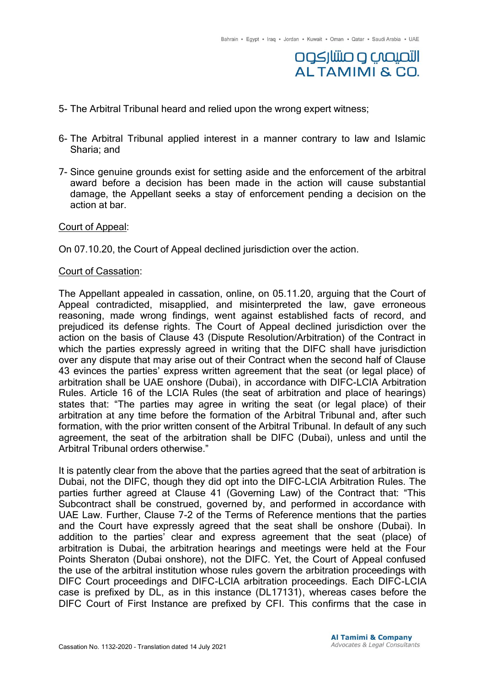## **DOSJUJIO O CAQUOJI ALTAMIMI & CO.**

- 5- The Arbitral Tribunal heard and relied upon the wrong expert witness;
- 6- The Arbitral Tribunal applied interest in a manner contrary to law and Islamic Sharia; and
- 7- Since genuine grounds exist for setting aside and the enforcement of the arbitral award before a decision has been made in the action will cause substantial damage, the Appellant seeks a stay of enforcement pending a decision on the action at bar.

#### Court of Appeal:

On 07.10.20, the Court of Appeal declined jurisdiction over the action.

#### Court of Cassation:

The Appellant appealed in cassation, online, on 05.11.20, arguing that the Court of Appeal contradicted, misapplied, and misinterpreted the law, gave erroneous reasoning, made wrong findings, went against established facts of record, and prejudiced its defense rights. The Court of Appeal declined jurisdiction over the action on the basis of Clause 43 (Dispute Resolution/Arbitration) of the Contract in which the parties expressly agreed in writing that the DIFC shall have jurisdiction over any dispute that may arise out of their Contract when the second half of Clause 43 evinces the parties' express written agreement that the seat (or legal place) of arbitration shall be UAE onshore (Dubai), in accordance with DIFC-LCIA Arbitration Rules. Article 16 of the LCIA Rules (the seat of arbitration and place of hearings) states that: "The parties may agree in writing the seat (or legal place) of their arbitration at any time before the formation of the Arbitral Tribunal and, after such formation, with the prior written consent of the Arbitral Tribunal. In default of any such agreement, the seat of the arbitration shall be DIFC (Dubai), unless and until the Arbitral Tribunal orders otherwise."

It is patently clear from the above that the parties agreed that the seat of arbitration is Dubai, not the DIFC, though they did opt into the DIFC-LCIA Arbitration Rules. The parties further agreed at Clause 41 (Governing Law) of the Contract that: "This Subcontract shall be construed, governed by, and performed in accordance with UAE Law. Further, Clause 7-2 of the Terms of Reference mentions that the parties and the Court have expressly agreed that the seat shall be onshore (Dubai). In addition to the parties' clear and express agreement that the seat (place) of arbitration is Dubai, the arbitration hearings and meetings were held at the Four Points Sheraton (Dubai onshore), not the DIFC. Yet, the Court of Appeal confused the use of the arbitral institution whose rules govern the arbitration proceedings with DIFC Court proceedings and DIFC-LCIA arbitration proceedings. Each DIFC-LCIA case is prefixed by DL, as in this instance (DL17131), whereas cases before the DIFC Court of First Instance are prefixed by CFI. This confirms that the case in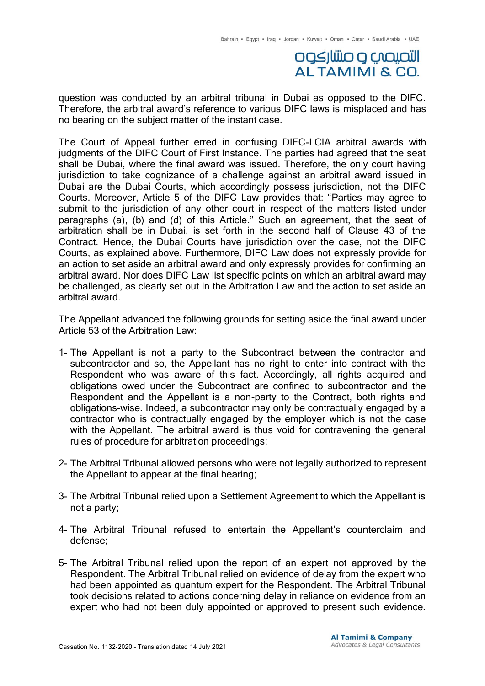### التصيصب و صنتار كوه **ALTAMIMI & CO.**

question was conducted by an arbitral tribunal in Dubai as opposed to the DIFC. Therefore, the arbitral award's reference to various DIFC laws is misplaced and has no bearing on the subject matter of the instant case.

The Court of Appeal further erred in confusing DIFC-LCIA arbitral awards with judgments of the DIFC Court of First Instance. The parties had agreed that the seat shall be Dubai, where the final award was issued. Therefore, the only court having jurisdiction to take cognizance of a challenge against an arbitral award issued in Dubai are the Dubai Courts, which accordingly possess jurisdiction, not the DIFC Courts. Moreover, Article 5 of the DIFC Law provides that: "Parties may agree to submit to the jurisdiction of any other court in respect of the matters listed under paragraphs (a), (b) and (d) of this Article." Such an agreement, that the seat of arbitration shall be in Dubai, is set forth in the second half of Clause 43 of the Contract. Hence, the Dubai Courts have jurisdiction over the case, not the DIFC Courts, as explained above. Furthermore, DIFC Law does not expressly provide for an action to set aside an arbitral award and only expressly provides for confirming an arbitral award. Nor does DIFC Law list specific points on which an arbitral award may be challenged, as clearly set out in the Arbitration Law and the action to set aside an arbitral award.

The Appellant advanced the following grounds for setting aside the final award under Article 53 of the Arbitration Law:

- 1- The Appellant is not a party to the Subcontract between the contractor and subcontractor and so, the Appellant has no right to enter into contract with the Respondent who was aware of this fact. Accordingly, all rights acquired and obligations owed under the Subcontract are confined to subcontractor and the Respondent and the Appellant is a non-party to the Contract, both rights and obligations-wise. Indeed, a subcontractor may only be contractually engaged by a contractor who is contractually engaged by the employer which is not the case with the Appellant. The arbitral award is thus void for contravening the general rules of procedure for arbitration proceedings;
- 2- The Arbitral Tribunal allowed persons who were not legally authorized to represent the Appellant to appear at the final hearing;
- 3- The Arbitral Tribunal relied upon a Settlement Agreement to which the Appellant is not a party;
- 4- The Arbitral Tribunal refused to entertain the Appellant's counterclaim and defense;
- 5- The Arbitral Tribunal relied upon the report of an expert not approved by the Respondent. The Arbitral Tribunal relied on evidence of delay from the expert who had been appointed as quantum expert for the Respondent. The Arbitral Tribunal took decisions related to actions concerning delay in reliance on evidence from an expert who had not been duly appointed or approved to present such evidence.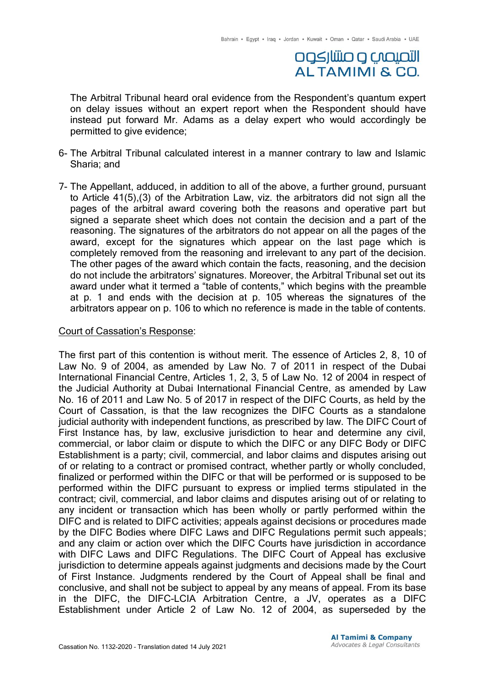## التصيصب و صنتار كوه **ALTAMIMI & CO.**

The Arbitral Tribunal heard oral evidence from the Respondent's quantum expert on delay issues without an expert report when the Respondent should have instead put forward Mr. Adams as a delay expert who would accordingly be permitted to give evidence;

- 6- The Arbitral Tribunal calculated interest in a manner contrary to law and Islamic Sharia; and
- 7- The Appellant, adduced, in addition to all of the above, a further ground, pursuant to Article 41(5),(3) of the Arbitration Law, viz. the arbitrators did not sign all the pages of the arbitral award covering both the reasons and operative part but signed a separate sheet which does not contain the decision and a part of the reasoning. The signatures of the arbitrators do not appear on all the pages of the award, except for the signatures which appear on the last page which is completely removed from the reasoning and irrelevant to any part of the decision. The other pages of the award which contain the facts, reasoning, and the decision do not include the arbitrators' signatures. Moreover, the Arbitral Tribunal set out its award under what it termed a "table of contents," which begins with the preamble at p. 1 and ends with the decision at p. 105 whereas the signatures of the arbitrators appear on p. 106 to which no reference is made in the table of contents.

#### Court of Cassation's Response:

The first part of this contention is without merit. The essence of Articles 2, 8, 10 of Law No. 9 of 2004, as amended by Law No. 7 of 2011 in respect of the Dubai International Financial Centre, Articles 1, 2, 3, 5 of Law No. 12 of 2004 in respect of the Judicial Authority at Dubai International Financial Centre, as amended by Law No. 16 of 2011 and Law No. 5 of 2017 in respect of the DIFC Courts, as held by the Court of Cassation, is that the law recognizes the DIFC Courts as a standalone judicial authority with independent functions, as prescribed by law. The DIFC Court of First Instance has, by law, exclusive jurisdiction to hear and determine any civil, commercial, or labor claim or dispute to which the DIFC or any DIFC Body or DIFC Establishment is a party; civil, commercial, and labor claims and disputes arising out of or relating to a contract or promised contract, whether partly or wholly concluded, finalized or performed within the DIFC or that will be performed or is supposed to be performed within the DIFC pursuant to express or implied terms stipulated in the contract; civil, commercial, and labor claims and disputes arising out of or relating to any incident or transaction which has been wholly or partly performed within the DIFC and is related to DIFC activities; appeals against decisions or procedures made by the DIFC Bodies where DIFC Laws and DIFC Regulations permit such appeals; and any claim or action over which the DIFC Courts have jurisdiction in accordance with DIFC Laws and DIFC Regulations. The DIFC Court of Appeal has exclusive jurisdiction to determine appeals against judgments and decisions made by the Court of First Instance. Judgments rendered by the Court of Appeal shall be final and conclusive, and shall not be subject to appeal by any means of appeal. From its base in the DIFC, the DIFC-LCIA Arbitration Centre, a JV, operates as a DIFC Establishment under Article 2 of Law No. 12 of 2004, as superseded by the